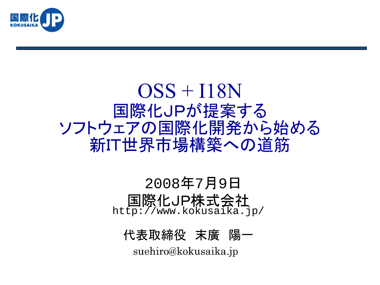

## $OSS + I18N$ 国際化JPが提案する ソフトウェアの国際化開発から始める 新IT世界市場構築への道筋

#### 2008年7月9日 国際化JP株式会社 http://www.kokusaika.jp/

代表取締役 末廣 陽一 suehiro@kokusaika.jp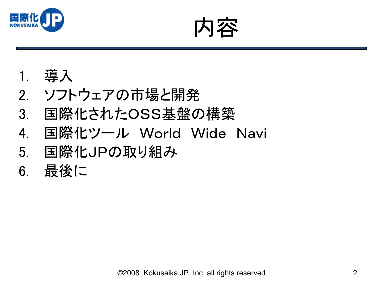



1. 導入

- 2. ソフトウェアの市場と開発
- 3. 国際化されたOSS基盤の構築
- 4. 国際化ツール World Wide Navi
- 5. 国際化JPの取り組み
- 6. 最後に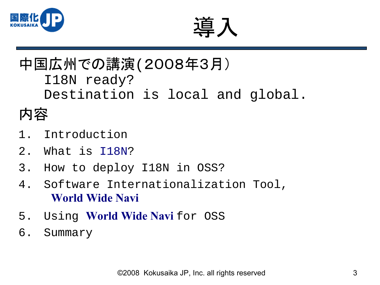



### 中国広州での講演(2008年3月) I18N ready? Destination is local and global.

## 内容

- 1. Introduction
- 2. What is I18N?
- 3. How to deploy I18N in OSS?
- 4. Software Internationalization Tool, **World Wide Navi**
- 5. Using **World Wide Navi** for OSS
- 6. Summary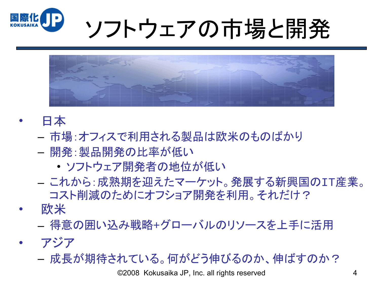

ソフトウェアの市場と開発



- 日本
	- 市場:オフィスで利用される製品は欧米のものばかり
	- 開発:製品開発の比率が低い
		- ソフトウェア開発者の地位が低い
	- これから:成熟期を迎えたマーケット。発展する新興国のIT産業。 コスト削減のためにオフショア開発を利用。それだけ?
- 欧米
	- 得意の囲い込み戦略+グローバルのリソースを上手に活用
- アジア
	- 成長が期待されている。何がどう伸びるのか、伸ばすのか?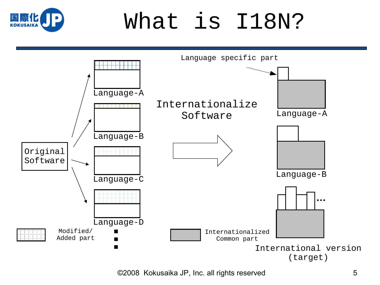

## What is I18N?

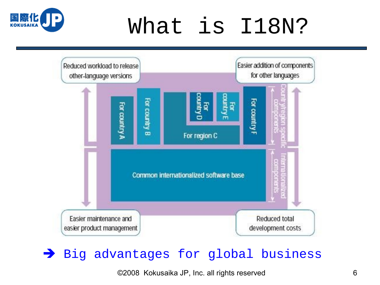## What is I18N?





#### Big advantages for global business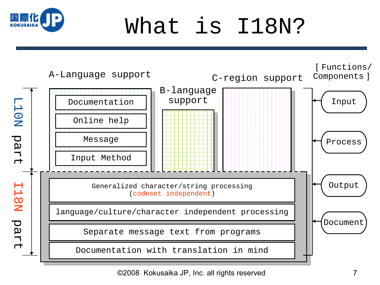

What is I18N?

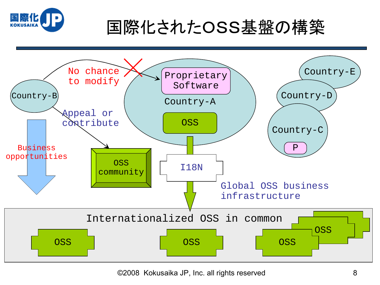

国際化されたOSS基盤の構築

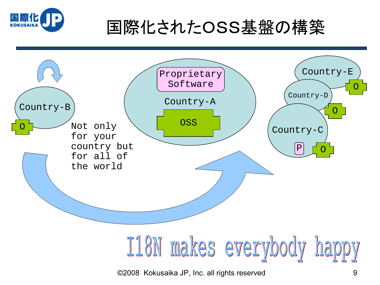

国際化されたOSS基盤の構築

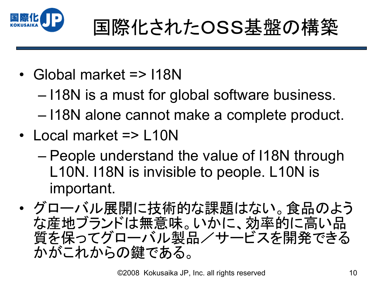

国際化されたOSS基盤の構築

- Global market => I18N
	- I18N is a must for global software business.
	- I18N alone cannot make a complete product.
- Local market => L10N
	- People understand the value of I18N through L10N. I18N is invisible to people. L10N is important.
- グローバル展開に技術的な課題はない。食品のよう な産地ブランドは無意味。いかに、効率的に高い品 質を保ってグローバル製品/サービスを開発できる かがこれからの鍵である。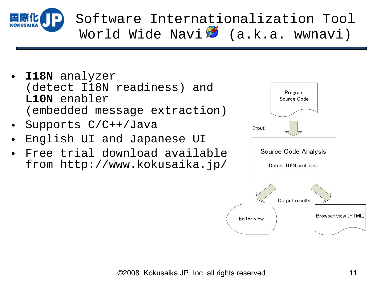

Software Internationalization Tool World Wide Navi (a.k.a. wwnavi)

- **I18N** analyzer (detect I18N readiness) and **L10N** enabler (embedded message extraction)
- Supports C/C++/Java
- English UI and Japanese UI
- Free trial download available from http://www.kokusaika.jp/

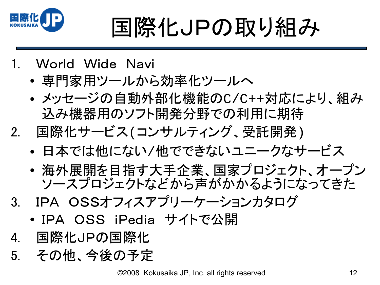

# 国際化JPの取り組み

- 1. World Wide Navi
	- 専門家用ツールから効率化ツールへ
	- メッセージの自動外部化機能のC/C++対応により、組み 込み機器用のソフト開発分野での利用に期待
- 2. 国際化サービス(コンサルティング、受託開発)
	- 日本では他にない/他でできないユニークなサービス
	- 海外展開を目指す大手企業、国家プロジェクト、オープン ソースプロジェクトなどから声がかかるようになってきた
- 3. IPA OSSオフィスアプリーケーションカタログ
	- IPA OSS iPedia サイトで公開
- 4. 国際化JPの国際化
- 5. その他、今後の予定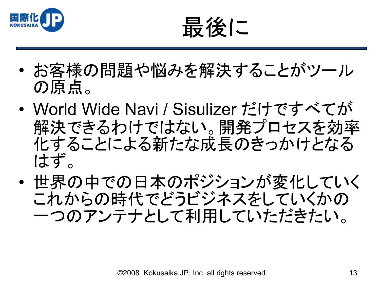

最後に

- お客様の問題や悩みを解決することがツール の原点。
- World Wide Navi / Sisulizer だけですべてが 解決できるわけではない。開発プロセスを効率 化することによる新たな成長のきっかけとなる はず。
- 世界の中での日本のポジションが変化していく これからの時代でどうビジネスをしていくかの 一つのアンテナとして利用していただきたい。